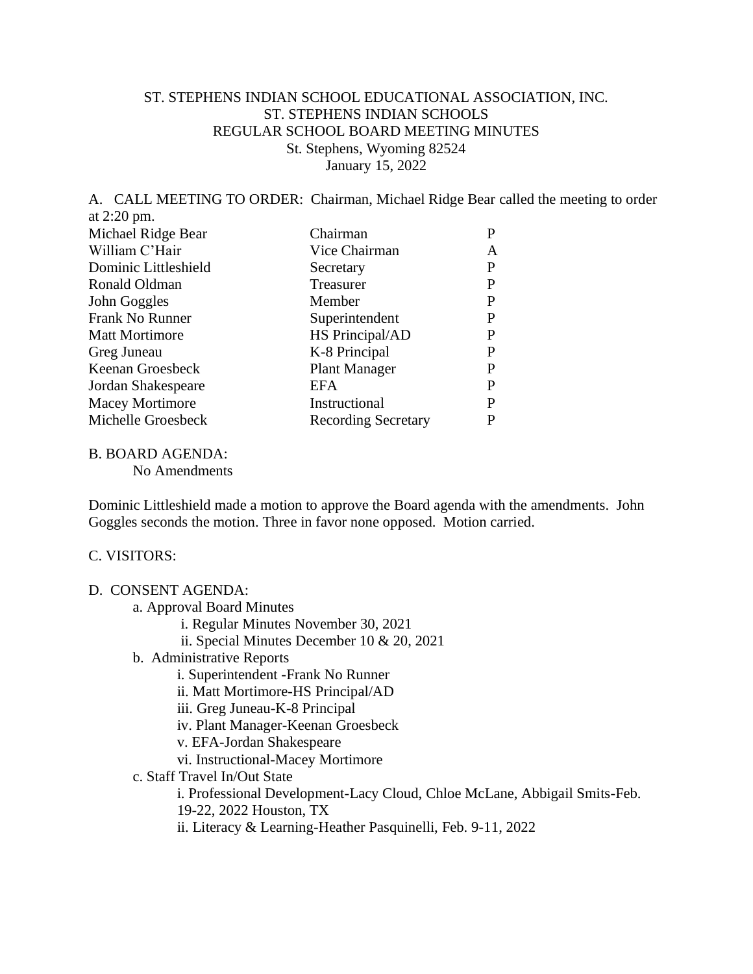## ST. STEPHENS INDIAN SCHOOL EDUCATIONAL ASSOCIATION, INC. ST. STEPHENS INDIAN SCHOOLS REGULAR SCHOOL BOARD MEETING MINUTES St. Stephens, Wyoming 82524 January 15, 2022

A. CALL MEETING TO ORDER: Chairman, Michael Ridge Bear called the meeting to order at 2:20 pm. Michael Ridge Bear Chairman P William C'Hair Vice Chairman A Dominic Littleshield Secretary P<br>
Ponald Oldman Trassurer P Ronald Oldman Treasurer

| 10011010 ORTHUR        | 110000101                  |   |
|------------------------|----------------------------|---|
| John Goggles           | Member                     | P |
| Frank No Runner        | Superintendent             |   |
| <b>Matt Mortimore</b>  | HS Principal/AD            | P |
| Greg Juneau            | K-8 Principal              | р |
| Keenan Groesbeck       | <b>Plant Manager</b>       | P |
| Jordan Shakespeare     | <b>EFA</b>                 | P |
| <b>Macey Mortimore</b> | Instructional              | P |
| Michelle Groesbeck     | <b>Recording Secretary</b> |   |
|                        |                            |   |

B. BOARD AGENDA:

No Amendments

Dominic Littleshield made a motion to approve the Board agenda with the amendments. John Goggles seconds the motion. Three in favor none opposed. Motion carried.

### C. VISITORS:

### D. CONSENT AGENDA:

- a. Approval Board Minutes
	- i. Regular Minutes November 30, 2021
	- ii. Special Minutes December 10 & 20, 2021
- b. Administrative Reports
	- i. Superintendent -Frank No Runner
	- ii. Matt Mortimore-HS Principal/AD
	- iii. Greg Juneau-K-8 Principal
	- iv. Plant Manager-Keenan Groesbeck
	- v. EFA-Jordan Shakespeare
	- vi. Instructional-Macey Mortimore
- c. Staff Travel In/Out State

i. Professional Development-Lacy Cloud, Chloe McLane, Abbigail Smits-Feb. 19-22, 2022 Houston, TX

ii. Literacy & Learning-Heather Pasquinelli, Feb. 9-11, 2022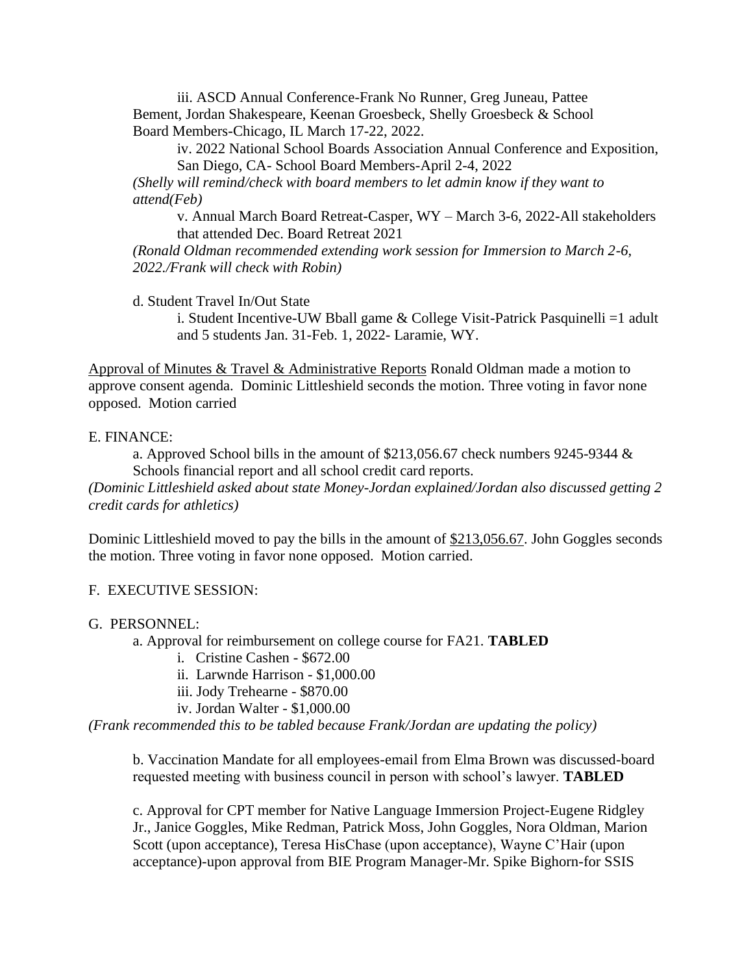iii. ASCD Annual Conference-Frank No Runner, Greg Juneau, Pattee Bement, Jordan Shakespeare, Keenan Groesbeck, Shelly Groesbeck & School Board Members-Chicago, IL March 17-22, 2022.

iv. 2022 National School Boards Association Annual Conference and Exposition, San Diego, CA- School Board Members-April 2-4, 2022

*(Shelly will remind/check with board members to let admin know if they want to attend(Feb)*

v. Annual March Board Retreat-Casper, WY – March 3-6, 2022-All stakeholders that attended Dec. Board Retreat 2021

*(Ronald Oldman recommended extending work session for Immersion to March 2-6, 2022./Frank will check with Robin)*

d. Student Travel In/Out State

i. Student Incentive-UW Bball game & College Visit-Patrick Pasquinelli =1 adult and 5 students Jan. 31-Feb. 1, 2022- Laramie, WY.

Approval of Minutes & Travel & Administrative Reports Ronald Oldman made a motion to approve consent agenda. Dominic Littleshield seconds the motion. Three voting in favor none opposed. Motion carried

E. FINANCE:

a. Approved School bills in the amount of \$213,056.67 check numbers 9245-9344 & Schools financial report and all school credit card reports.

*(Dominic Littleshield asked about state Money-Jordan explained/Jordan also discussed getting 2 credit cards for athletics)*

Dominic Littleshield moved to pay the bills in the amount of \$213,056.67. John Goggles seconds the motion. Three voting in favor none opposed. Motion carried.

### F. EXECUTIVE SESSION:

### G. PERSONNEL:

a. Approval for reimbursement on college course for FA21. **TABLED**

- i. Cristine Cashen \$672.00
- ii. Larwnde Harrison \$1,000.00
- iii. Jody Trehearne \$870.00
- iv. Jordan Walter \$1,000.00

*(Frank recommended this to be tabled because Frank/Jordan are updating the policy)*

b. Vaccination Mandate for all employees-email from Elma Brown was discussed-board requested meeting with business council in person with school's lawyer. **TABLED**

c. Approval for CPT member for Native Language Immersion Project-Eugene Ridgley Jr., Janice Goggles, Mike Redman, Patrick Moss, John Goggles, Nora Oldman, Marion Scott (upon acceptance), Teresa HisChase (upon acceptance), Wayne C'Hair (upon acceptance)-upon approval from BIE Program Manager-Mr. Spike Bighorn-for SSIS